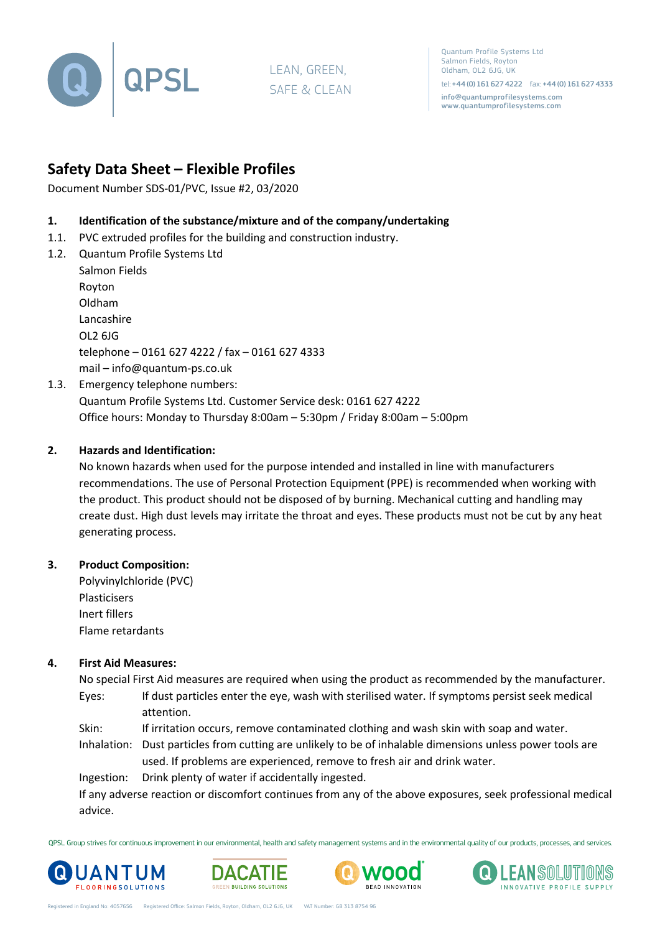

LEAN, GREEN, SAFE & CLEAN

Quantum Profile Systems Ltd Salmon Fields, Royton Oldham, OL2 6JG, UK

tel: +44 (0) 161 627 4222 fax: +44 (0) 161 627 4333 info@quantumprofilesystems.com www.quantumprofilesystems.com

# **Safety Data Sheet – Flexible Profiles**

Document Number SDS-01/PVC, Issue #2, 03/2020

- **1. Identification of the substance/mixture and of the company/undertaking**
- 1.1. PVC extruded profiles for the building and construction industry.
- 1.2. Quantum Profile Systems Ltd

Salmon Fields Royton Oldham Lancashire OL2 6JG telephone – 0161 627 4222 / fax – 0161 627 4333 mail – info@quantum-ps.co.uk 1.3. Emergency telephone numbers:

Quantum Profile Systems Ltd. Customer Service desk: 0161 627 4222 Office hours: Monday to Thursday 8:00am – 5:30pm / Friday 8:00am – 5:00pm

# **2. Hazards and Identification:**

No known hazards when used for the purpose intended and installed in line with manufacturers recommendations. The use of Personal Protection Equipment (PPE) is recommended when working with the product. This product should not be disposed of by burning. Mechanical cutting and handling may create dust. High dust levels may irritate the throat and eyes. These products must not be cut by any heat generating process.

# **3. Product Composition:**

Polyvinylchloride (PVC) Plasticisers Inert fillers Flame retardants

# **4. First Aid Measures:**

No special First Aid measures are required when using the product as recommended by the manufacturer. Eyes: If dust particles enter the eye, wash with sterilised water. If symptoms persist seek medical attention.

Skin: If irritation occurs, remove contaminated clothing and wash skin with soap and water.

Inhalation: Dust particles from cutting are unlikely to be of inhalable dimensions unless power tools are used. If problems are experienced, remove to fresh air and drink water.

Ingestion: Drink plenty of water if accidentally ingested.

If any adverse reaction or discomfort continues from any of the above exposures, seek professional medical advice.

QPSL Group strives for continuous improvement in our environmental, health and safety management systems and in the environmental quality of our products, processes, and services.







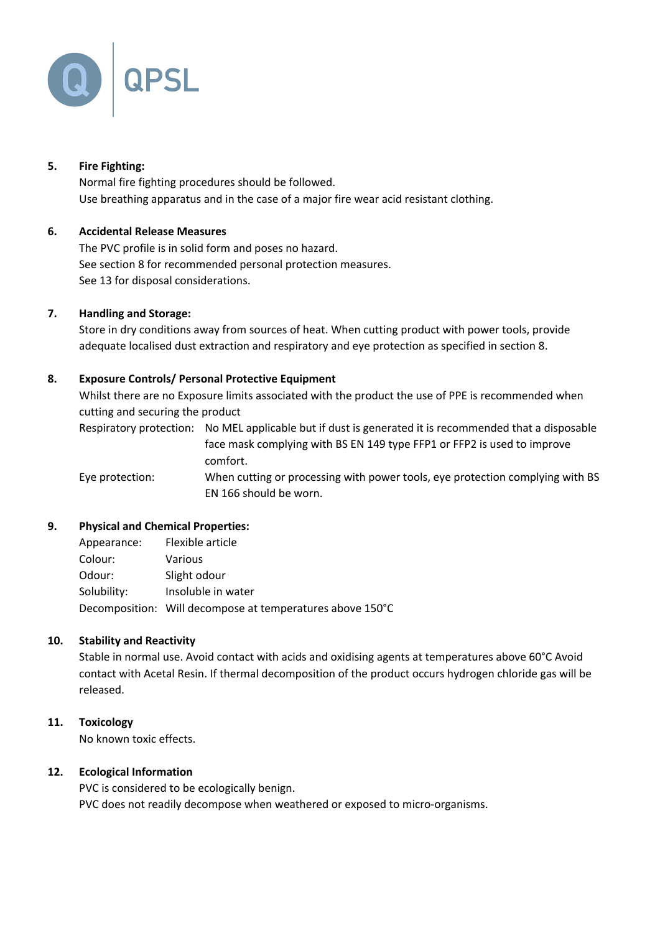

# **5. Fire Fighting:**

Normal fire fighting procedures should be followed. Use breathing apparatus and in the case of a major fire wear acid resistant clothing.

# **6. Accidental Release Measures**

The PVC profile is in solid form and poses no hazard. See section 8 for recommended personal protection measures. See 13 for disposal considerations.

#### **7. Handling and Storage:**

Store in dry conditions away from sources of heat. When cutting product with power tools, provide adequate localised dust extraction and respiratory and eye protection as specified in section 8.

# **8. Exposure Controls/ Personal Protective Equipment**

Whilst there are no Exposure limits associated with the product the use of PPE is recommended when cutting and securing the product

Respiratory protection: No MEL applicable but if dust is generated it is recommended that a disposable face mask complying with BS EN 149 type FFP1 or FFP2 is used to improve comfort.

Eye protection: When cutting or processing with power tools, eye protection complying with BS EN 166 should be worn.

#### **9. Physical and Chemical Properties:**

| Appearance: | Flexible article                                          |
|-------------|-----------------------------------------------------------|
| Colour:     | Various                                                   |
| Odour:      | Slight odour                                              |
| Solubility: | Insoluble in water                                        |
|             | Decomposition: Will decompose at temperatures above 150°C |

#### **10. Stability and Reactivity**

Stable in normal use. Avoid contact with acids and oxidising agents at temperatures above 60°C Avoid contact with Acetal Resin. If thermal decomposition of the product occurs hydrogen chloride gas will be released.

#### **11. Toxicology**

No known toxic effects.

#### **12. Ecological Information**

PVC is considered to be ecologically benign. PVC does not readily decompose when weathered or exposed to micro-organisms.